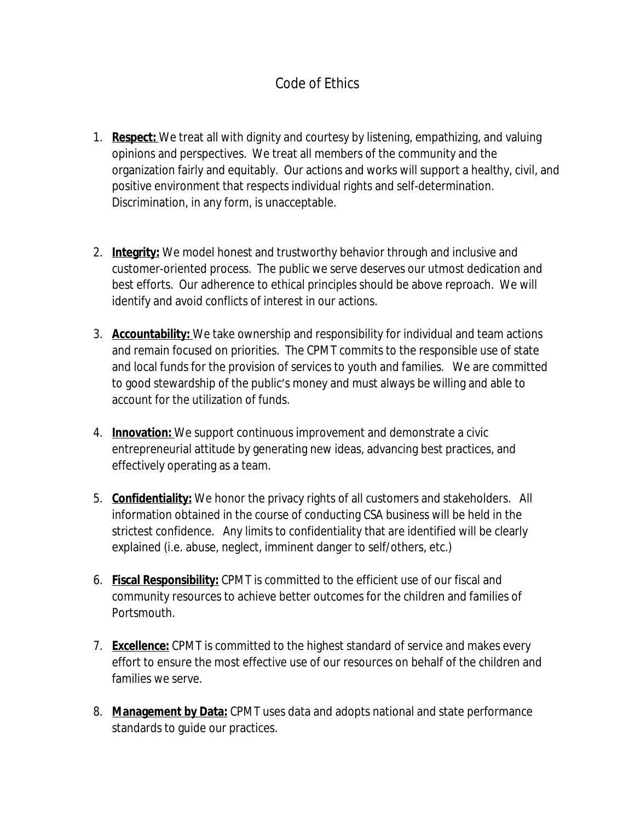## Code of Ethics

- 1. **Respect:** We treat all with dignity and courtesy by listening, empathizing, and valuing opinions and perspectives. We treat all members of the community and the organization fairly and equitably. Our actions and works will support a healthy, civil, and positive environment that respects individual rights and self-determination. Discrimination, in any form, is unacceptable.
- 2. **Integrity:** We model honest and trustworthy behavior through and inclusive and customer-oriented process. The public we serve deserves our utmost dedication and best efforts. Our adherence to ethical principles should be above reproach. We will identify and avoid conflicts of interest in our actions.
- 3. **Accountability:** We take ownership and responsibility for individual and team actions and remain focused on priorities. The CPMT commits to the responsible use of state and local funds for the provision of services to youth and families. We are committed to good stewardship of the public's money and must always be willing and able to account for the utilization of funds.
- 4. **Innovation:** We support continuous improvement and demonstrate a civic entrepreneurial attitude by generating new ideas, advancing best practices, and effectively operating as a team.
- 5. **Confidentiality:** We honor the privacy rights of all customers and stakeholders. All information obtained in the course of conducting CSA business will be held in the strictest confidence. Any limits to confidentiality that are identified will be clearly explained (i.e. abuse, neglect, imminent danger to self/others, etc.)
- 6. **Fiscal Responsibility:** CPMT is committed to the efficient use of our fiscal and community resources to achieve better outcomes for the children and families of Portsmouth.
- 7. **Excellence:** CPMT is committed to the highest standard of service and makes every effort to ensure the most effective use of our resources on behalf of the children and families we serve.
- 8. **Management by Data:** CPMT uses data and adopts national and state performance standards to guide our practices.